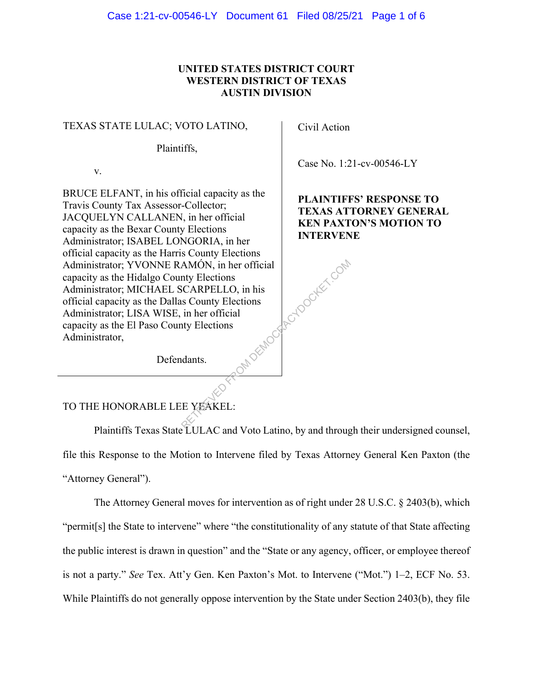### **UNITED STATES DISTRICT COURT WESTERN DISTRICT OF TEXAS AUSTIN DIVISION**

#### TEXAS STATE LULAC; VOTO LATINO,

Plaintiffs,

v.

BRUCE ELFANT, in his official capacity as the Travis County Tax Assessor-Collector; JACQUELYN CALLANEN, in her official capacity as the Bexar County Elections Administrator; ISABEL LONGORIA, in her official capacity as the Harris County Elections Administrator; YVONNE RAMÓN, in her official capacity as the Hidalgo County Elections Administrator; MICHAEL SCARPELLO, in his official capacity as the Dallas County Elections Administrator; LISA WISE, in her official capacity as the El Paso County Elections Administrator, RANDCARCYDOCKET.COM

Civil Action

Case No. 1:21-cv-00546-LY

**PLAINTIFFS' RESPONSE TO TEXAS ATTORNEY GENERAL KEN PAXTON'S MOTION TO INTERVENE** 

Defendants.

# TO THE HONORABLE LEE YEAKEL:

Plaintiffs Texas State LULAC and Voto Latino, by and through their undersigned counsel, file this Response to the Motion to Intervene filed by Texas Attorney General Ken Paxton (the "Attorney General").

The Attorney General moves for intervention as of right under 28 U.S.C. § 2403(b), which "permit[s] the State to intervene" where "the constitutionality of any statute of that State affecting the public interest is drawn in question" and the "State or any agency, officer, or employee thereof is not a party." *See* Tex. Att'y Gen. Ken Paxton's Mot. to Intervene ("Mot.") 1–2, ECF No. 53. While Plaintiffs do not generally oppose intervention by the State under Section 2403(b), they file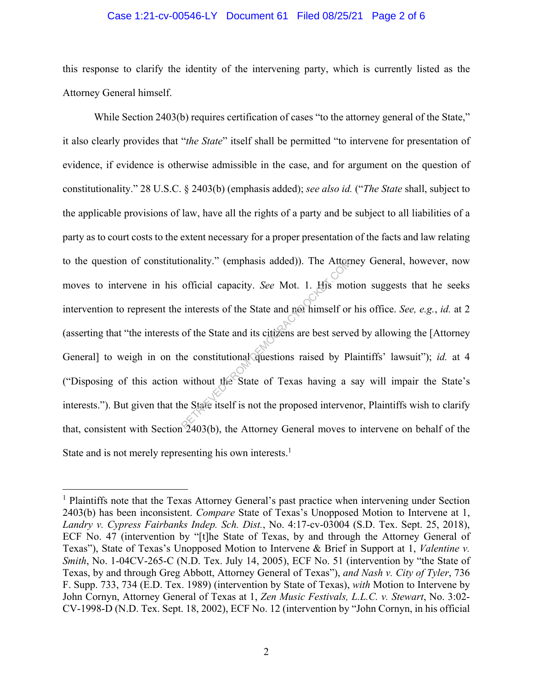#### Case 1:21-cv-00546-LY Document 61 Filed 08/25/21 Page 2 of 6

this response to clarify the identity of the intervening party, which is currently listed as the Attorney General himself.

While Section 2403(b) requires certification of cases "to the attorney general of the State," it also clearly provides that "*the State*" itself shall be permitted "to intervene for presentation of evidence, if evidence is otherwise admissible in the case, and for argument on the question of constitutionality." 28 U.S.C. § 2403(b) (emphasis added); *see also id.* ("*The State* shall, subject to the applicable provisions of law, have all the rights of a party and be subject to all liabilities of a party as to court costs to the extent necessary for a proper presentation of the facts and law relating to the question of constitutionality." (emphasis added)). The Attorney General, however, now moves to intervene in his official capacity. *See* Mot. 1. His motion suggests that he seeks intervention to represent the interests of the State and not himself or his office. *See, e.g.*, *id.* at 2 (asserting that "the interests of the State and its citizens are best served by allowing the [Attorney General] to weigh in on the constitutional questions raised by Plaintiffs' lawsuit"); *id.* at 4 ("Disposing of this action without the State of Texas having a say will impair the State's interests."). But given that the State itself is not the proposed intervenor, Plaintiffs wish to clarify that, consistent with Section 2403(b), the Attorney General moves to intervene on behalf of the State and is not merely representing his own interests.<sup>1</sup> ionality." (emphasis added)). The Attornation<br>official capacity. *See* Mot. 1. His mot<br>interests of the State and not himself or<br>of the State and its citizens are best serve<br>ne constitutional questions raised by Pl<br>without

<sup>&</sup>lt;sup>1</sup> Plaintiffs note that the Texas Attorney General's past practice when intervening under Section 2403(b) has been inconsistent. *Compare* State of Texas's Unopposed Motion to Intervene at 1, *Landry v. Cypress Fairbanks Indep. Sch. Dist.*, No. 4:17-cv-03004 (S.D. Tex. Sept. 25, 2018), ECF No. 47 (intervention by "[t]he State of Texas, by and through the Attorney General of Texas"), State of Texas's Unopposed Motion to Intervene & Brief in Support at 1, *Valentine v. Smith*, No. 1-04CV-265-C (N.D. Tex. July 14, 2005), ECF No. 51 (intervention by "the State of Texas, by and through Greg Abbott, Attorney General of Texas"), *and Nash v. City of Tyler*, 736 F. Supp. 733, 734 (E.D. Tex. 1989) (intervention by State of Texas), *with* Motion to Intervene by John Cornyn, Attorney General of Texas at 1, *Zen Music Festivals, L.L.C. v. Stewart*, No. 3:02- CV-1998-D (N.D. Tex. Sept. 18, 2002), ECF No. 12 (intervention by "John Cornyn, in his official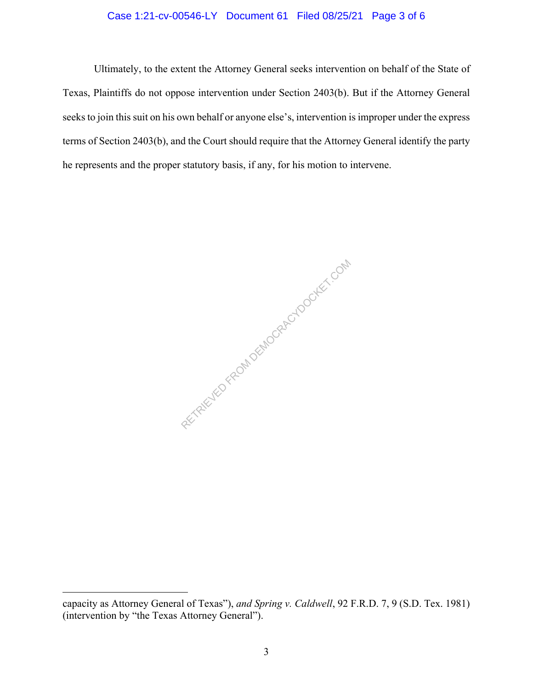### Case 1:21-cv-00546-LY Document 61 Filed 08/25/21 Page 3 of 6

 Ultimately, to the extent the Attorney General seeks intervention on behalf of the State of Texas, Plaintiffs do not oppose intervention under Section 2403(b). But if the Attorney General seeks to join this suit on his own behalf or anyone else's, intervention is improper under the express terms of Section 2403(b), and the Court should require that the Attorney General identify the party he represents and the proper statutory basis, if any, for his motion to intervene.

RETRIEVED FROM DEMOCRACYDOCKET.COM

capacity as Attorney General of Texas"), *and Spring v. Caldwell*, 92 F.R.D. 7, 9 (S.D. Tex. 1981) (intervention by "the Texas Attorney General").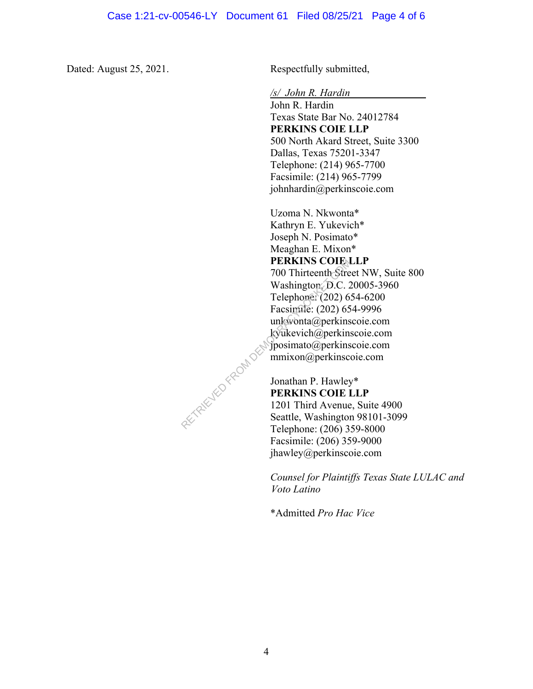Dated: August 25, 2021. Respectfully submitted,

*/s/ John R. Hardin* 

John R. Hardin Texas State Bar No. 24012784 **PERKINS COIE LLP**  500 North Akard Street, Suite 3300 Dallas, Texas 75201-3347 Telephone: (214) 965-7700 Facsimile: (214) 965-7799 johnhardin@perkinscoie.com

Uzoma N. Nkwonta\* Kathryn E. Yukevich\* Joseph N. Posimato\* Meaghan E. Mixon\* **PERKINS COIE LLP** 700 Thirteenth Street NW, Suite 800 Washington, D.C. 20005-3960 Telephone: (202) 654-6200 Facsimile: (202) 654-9996 unkwonta@perkinscoie.com kyukevich@perkinscoie.com jposimato@perkinscoie.com mmixon@perkinscoie.com

Jonathan P. Hawley\* **PERKINS COIE LLP**  1201 Third Avenue, Suite 4900 Seattle, Washington 98101-3099 Telephone: (206) 359-8000 Facsimile: (206) 359-9000 jhawley@perkinscoie.com

*Counsel for Plaintiffs Texas State LULAC and Voto Latino* 

\*Admitted *Pro Hac Vice*

RETRIEVED FROM DES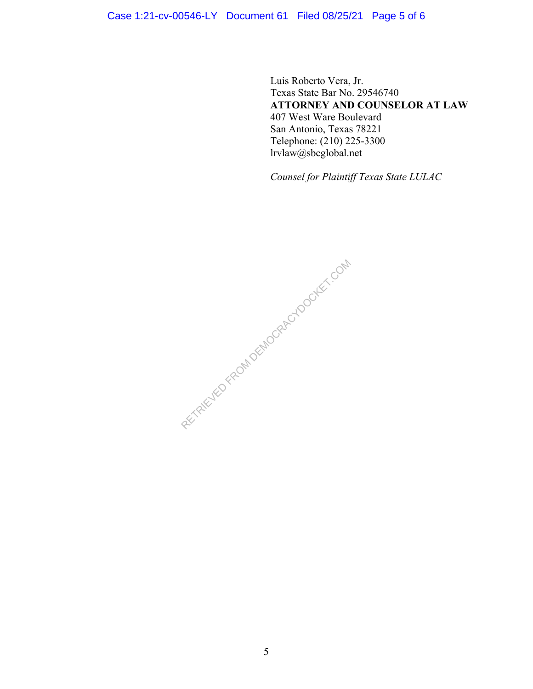## Case 1:21-cv-00546-LY Document 61 Filed 08/25/21 Page 5 of 6

Luis Roberto Vera, Jr. Texas State Bar No. 29546740 **ATTORNEY AND COUNSELOR AT LAW** 407 West Ware Boulevard San Antonio, Texas 78221 Telephone: (210) 225-3300 lrvlaw@sbcglobal.net

*Counsel for Plaintiff Texas State LULAC*

RECTRIC TEO FROM DEMOCRACY DOCKET.COM